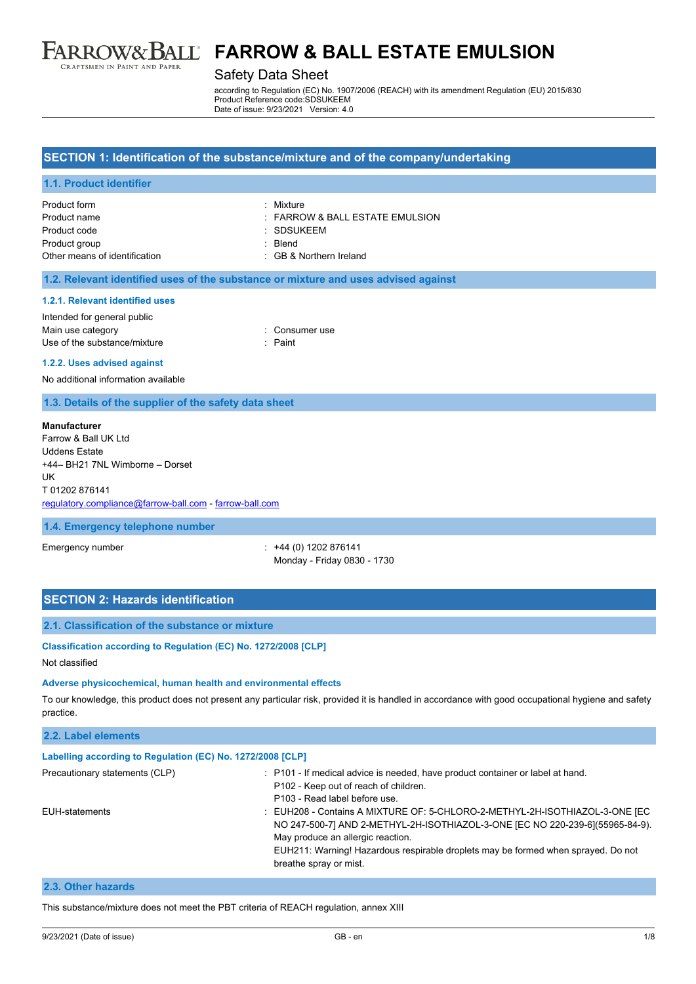

### Safety Data Sheet

according to Regulation (EC) No. 1907/2006 (REACH) with its amendment Regulation (EU) 2015/830 Product Reference code:SDSUKEEM Date of issue: 9/23/2021 Version: 4.0

#### **SECTION 1: Identification of the substance/mixture and of the company/undertaking**

#### **1.1. Product identifier**

| Product form                  | · Mixture                           |
|-------------------------------|-------------------------------------|
| Product name                  | $\pm$ FARROW & BALL ESTATE EMULSION |
| Product code                  | : SDSUKEEM                          |
| Product group                 | · Blend                             |
| Other means of identification | : GB & Northern Ireland             |

#### **1.2. Relevant identified uses of the substance or mixture and uses advised against**

#### **1.2.1. Relevant identified uses**

| Intended for general public  |                |
|------------------------------|----------------|
| Main use category            | : Consumer use |
| Use of the substance/mixture | : Paint        |

#### **1.2.2. Uses advised against**

No additional information available

#### **1.3. Details of the supplier of the safety data sheet**

#### **Manufacturer**

Farrow & Ball UK Ltd Uddens Estate +44– BH21 7NL Wimborne – Dorset UK T 01202 876141 [regulatory.compliance@farrow-ball.com](mailto:regulatory.compliance@farrow-ball.com) - [farrow-ball.com](http://farrow-ball.com/)

#### **1.4. Emergency telephone number**

Emergency number : +44 (0) 1202 876141 Monday - Friday 0830 - 1730

## **SECTION 2: Hazards identification**

### **2.1. Classification of the substance or mixture**

#### **Classification according to Regulation (EC) No. 1272/2008 [CLP]**

Not classified

#### **Adverse physicochemical, human health and environmental effects**

To our knowledge, this product does not present any particular risk, provided it is handled in accordance with good occupational hygiene and safety practice.

| 2.2. Label elements                                                                                                                                                                                                                                                                                                                |                                                                                                                                                          |
|------------------------------------------------------------------------------------------------------------------------------------------------------------------------------------------------------------------------------------------------------------------------------------------------------------------------------------|----------------------------------------------------------------------------------------------------------------------------------------------------------|
| Labelling according to Regulation (EC) No. 1272/2008 [CLP]                                                                                                                                                                                                                                                                         |                                                                                                                                                          |
| Precautionary statements (CLP)                                                                                                                                                                                                                                                                                                     | : P101 - If medical advice is needed, have product container or label at hand.<br>P102 - Keep out of reach of children.<br>P103 - Read label before use. |
| : EUH208 - Contains A MIXTURE OF: 5-CHLORO-2-METHYL-2H-ISOTHIAZOL-3-ONE [EC<br>EUH-statements<br>NO 247-500-7] AND 2-METHYL-2H-ISOTHIAZOL-3-ONE [EC NO 220-239-6](55965-84-9).<br>May produce an allergic reaction.<br>EUH211: Warning! Hazardous respirable droplets may be formed when sprayed. Do not<br>breathe spray or mist. |                                                                                                                                                          |
| .                                                                                                                                                                                                                                                                                                                                  |                                                                                                                                                          |

#### **2.3. Other hazards**

This substance/mixture does not meet the PBT criteria of REACH regulation, annex XIII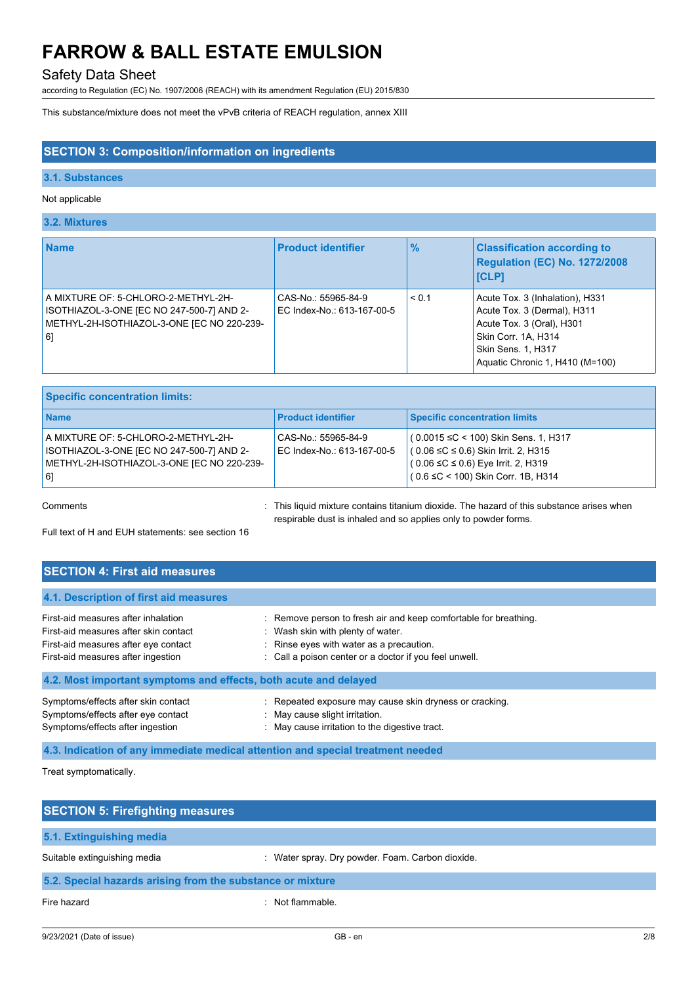# Safety Data Sheet

according to Regulation (EC) No. 1907/2006 (REACH) with its amendment Regulation (EU) 2015/830

This substance/mixture does not meet the vPvB criteria of REACH regulation, annex XIII

### **SECTION 3: Composition/information on ingredients**

#### **3.1. Substances**

### Not applicable

## **3.2. Mixtures**

| <b>Name</b>                                                                                                                          | <b>Product identifier</b>                         | $\frac{9}{6}$ | <b>Classification according to</b><br><b>Regulation (EC) No. 1272/2008</b><br><b>ICLP1</b>                                                                                  |
|--------------------------------------------------------------------------------------------------------------------------------------|---------------------------------------------------|---------------|-----------------------------------------------------------------------------------------------------------------------------------------------------------------------------|
| A MIXTURE OF: 5-CHLORO-2-METHYL-2H-<br>ISOTHIAZOL-3-ONE [EC NO 247-500-7] AND 2-<br>METHYL-2H-ISOTHIAZOL-3-ONE JEC NO 220-239-<br>61 | CAS-No.: 55965-84-9<br>EC Index-No.: 613-167-00-5 | < 0.1         | Acute Tox. 3 (Inhalation), H331<br>Acute Tox. 3 (Dermal), H311<br>Acute Tox. 3 (Oral), H301<br>Skin Corr. 1A, H314<br>Skin Sens. 1, H317<br>Aquatic Chronic 1, H410 (M=100) |

| <b>Specific concentration limits:</b>                                                                                                |                                                   |                                                                                                                                                                                       |  |
|--------------------------------------------------------------------------------------------------------------------------------------|---------------------------------------------------|---------------------------------------------------------------------------------------------------------------------------------------------------------------------------------------|--|
| <b>Name</b>                                                                                                                          | <b>Product identifier</b>                         | <b>Specific concentration limits</b>                                                                                                                                                  |  |
| A MIXTURE OF: 5-CHLORO-2-METHYL-2H-<br>ISOTHIAZOL-3-ONE [EC NO 247-500-7] AND 2-<br>METHYL-2H-ISOTHIAZOL-3-ONE JEC NO 220-239-<br> 6 | CAS-No.: 55965-84-9<br>EC Index-No.: 613-167-00-5 | $(0.0015 \leq C < 100)$ Skin Sens. 1, H317<br>$(0.06 \leq C \leq 0.6)$ Skin Irrit. 2, H315<br>$(0.06 \leq C \leq 0.6)$ Eye Irrit. 2, H319<br>$(0.6 \leq C < 100)$ Skin Corr. 1B, H314 |  |

Comments **Example 2** This liquid mixture contains titanium dioxide. The hazard of this substance arises when respirable dust is inhaled and so applies only to powder forms.

Full text of H and EUH statements: see section 16

## **SECTION 4: First aid measures**

| 4.1. Description of first aid measures                           |                                                                  |
|------------------------------------------------------------------|------------------------------------------------------------------|
| First-aid measures after inhalation                              | : Remove person to fresh air and keep comfortable for breathing. |
| First-aid measures after skin contact                            | : Wash skin with plenty of water.                                |
| First-aid measures after eye contact                             | : Rinse eyes with water as a precaution.                         |
| First-aid measures after ingestion                               | : Call a poison center or a doctor if you feel unwell.           |
| 4.2. Most important symptoms and effects, both acute and delayed |                                                                  |
| Symptoms/effects after skin contact                              | : Repeated exposure may cause skin dryness or cracking.          |
| Symptoms/effects after eye contact                               | : May cause slight irritation.                                   |
| Symptoms/effects after ingestion                                 | : May cause irritation to the digestive tract.                   |

**4.3. Indication of any immediate medical attention and special treatment needed**

Treat symptomatically.

| <b>SECTION 5: Firefighting measures</b>                    |                                                  |  |
|------------------------------------------------------------|--------------------------------------------------|--|
| 5.1. Extinguishing media                                   |                                                  |  |
| Suitable extinguishing media                               | : Water spray. Dry powder. Foam. Carbon dioxide. |  |
| 5.2. Special hazards arising from the substance or mixture |                                                  |  |
| Fire hazard                                                | Not flammable.                                   |  |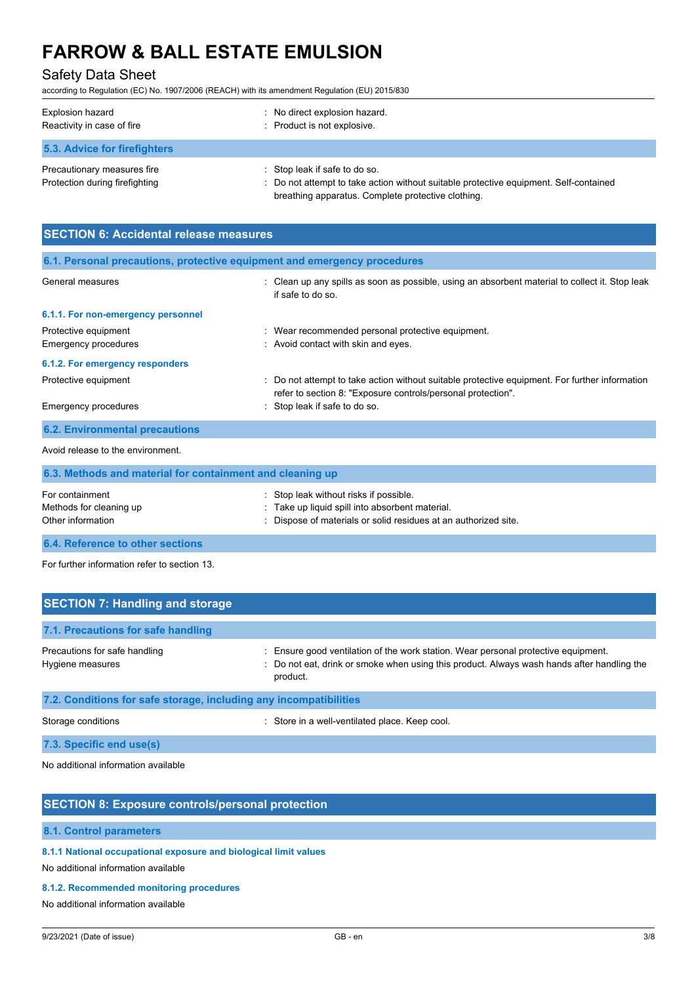# Safety Data Sheet

according to Regulation (EC) No. 1907/2006 (REACH) with its amendment Regulation (EU) 2015/830

| Explosion hazard<br>Reactivity in case of fire                | : No direct explosion hazard.<br>: Product is not explosive.                                                                                                                 |
|---------------------------------------------------------------|------------------------------------------------------------------------------------------------------------------------------------------------------------------------------|
| 5.3. Advice for firefighters                                  |                                                                                                                                                                              |
| Precautionary measures fire<br>Protection during firefighting | : Stop leak if safe to do so.<br>: Do not attempt to take action without suitable protective equipment. Self-contained<br>breathing apparatus. Complete protective clothing. |

| <b>SECTION 6: Accidental release measures</b>                            |                                                                                                                                                                |  |  |
|--------------------------------------------------------------------------|----------------------------------------------------------------------------------------------------------------------------------------------------------------|--|--|
| 6.1. Personal precautions, protective equipment and emergency procedures |                                                                                                                                                                |  |  |
| General measures                                                         | : Clean up any spills as soon as possible, using an absorbent material to collect it. Stop leak<br>if safe to do so                                            |  |  |
| 6.1.1. For non-emergency personnel                                       |                                                                                                                                                                |  |  |
| Protective equipment                                                     | : Wear recommended personal protective equipment.                                                                                                              |  |  |
| <b>Emergency procedures</b>                                              | : Avoid contact with skin and eyes.                                                                                                                            |  |  |
| 6.1.2. For emergency responders                                          |                                                                                                                                                                |  |  |
| Protective equipment                                                     | : Do not attempt to take action without suitable protective equipment. For further information<br>refer to section 8: "Exposure controls/personal protection". |  |  |
| Emergency procedures                                                     | : Stop leak if safe to do so.                                                                                                                                  |  |  |
| <b>6.2. Environmental precautions</b>                                    |                                                                                                                                                                |  |  |
| Avoid release to the environment.                                        |                                                                                                                                                                |  |  |

| 6.3. Methods and material for containment and cleaning up       |                                                                                                                                                              |  |
|-----------------------------------------------------------------|--------------------------------------------------------------------------------------------------------------------------------------------------------------|--|
| For containment<br>Methods for cleaning up<br>Other information | : Stop leak without risks if possible.<br>: Take up liquid spill into absorbent material.<br>: Dispose of materials or solid residues at an authorized site. |  |
| <b>6.4. Reference to other sections</b>                         |                                                                                                                                                              |  |

For further information refer to section 13.

| <b>SECTION 7: Handling and storage</b>                            |                                                                                                                                                                                              |
|-------------------------------------------------------------------|----------------------------------------------------------------------------------------------------------------------------------------------------------------------------------------------|
| 7.1. Precautions for safe handling                                |                                                                                                                                                                                              |
| Precautions for safe handling<br>Hygiene measures                 | : Ensure good ventilation of the work station. Wear personal protective equipment.<br>: Do not eat, drink or smoke when using this product. Always wash hands after handling the<br>product. |
| 7.2. Conditions for safe storage, including any incompatibilities |                                                                                                                                                                                              |

Storage conditions **Storage conditions** : Store in a well-ventilated place. Keep cool.

**7.3. Specific end use(s)**

No additional information available

## **SECTION 8: Exposure controls/personal protection**

### **8.1. Control parameters**

**8.1.1 National occupational exposure and biological limit values**

No additional information available

#### **8.1.2. Recommended monitoring procedures**

No additional information available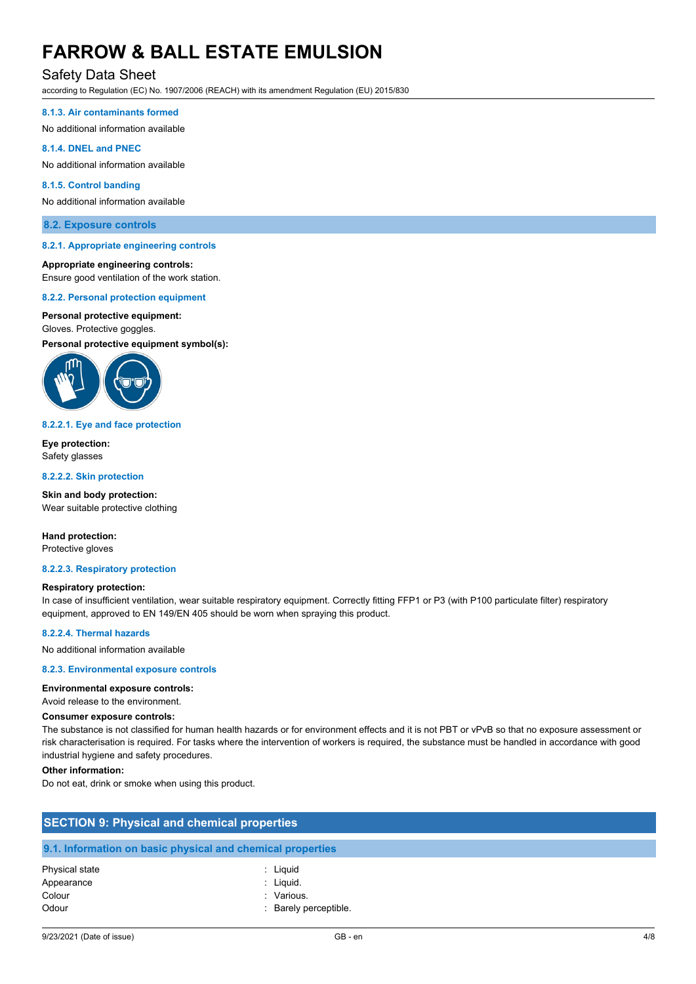# Safety Data Sheet

according to Regulation (EC) No. 1907/2006 (REACH) with its amendment Regulation (EU) 2015/830

#### **8.1.3. Air contaminants formed**

No additional information available

#### **8.1.4. DNEL and PNEC**

No additional information available

#### **8.1.5. Control banding**

No additional information available

#### **8.2. Exposure controls**

#### **8.2.1. Appropriate engineering controls**

#### **Appropriate engineering controls:**

Ensure good ventilation of the work station.

#### **8.2.2. Personal protection equipment**

#### **Personal protective equipment:**

## Gloves. Protective goggles.

**Personal protective equipment symbol(s):**



#### **8.2.2.1. Eye and face protection**

**Eye protection:** Safety glasses

#### **8.2.2.2. Skin protection**

**Skin and body protection:** Wear suitable protective clothing

**Hand protection:** Protective gloves

#### **8.2.2.3. Respiratory protection**

#### **Respiratory protection:**

In case of insufficient ventilation, wear suitable respiratory equipment. Correctly fitting FFP1 or P3 (with P100 particulate filter) respiratory equipment, approved to EN 149/EN 405 should be worn when spraying this product.

#### **8.2.2.4. Thermal hazards**

No additional information available

#### **8.2.3. Environmental exposure controls**

#### **Environmental exposure controls:**

Avoid release to the environment.

#### **Consumer exposure controls:**

The substance is not classified for human health hazards or for environment effects and it is not PBT or vPvB so that no exposure assessment or risk characterisation is required. For tasks where the intervention of workers is required, the substance must be handled in accordance with good industrial hygiene and safety procedures.

#### **Other information:**

Do not eat, drink or smoke when using this product.

| <b>SECTION 9: Physical and chemical properties</b> |                                                            |  |
|----------------------------------------------------|------------------------------------------------------------|--|
|                                                    | 9.1. Information on basic physical and chemical properties |  |
| Physical state                                     | : Liguid                                                   |  |
| Appearance                                         | : Liquid.                                                  |  |
| Colour                                             | : Various.                                                 |  |
| Odour                                              | Barely perceptible.                                        |  |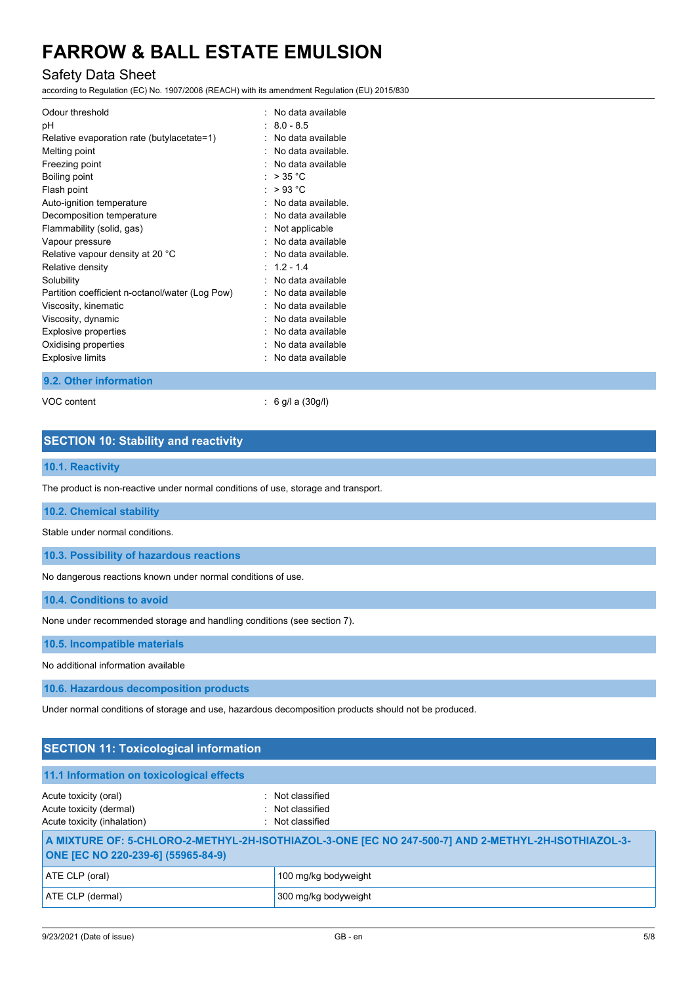# Safety Data Sheet

according to Regulation (EC) No. 1907/2006 (REACH) with its amendment Regulation (EU) 2015/830

| Odour threshold<br>рH<br>Relative evaporation rate (butylacetate=1)<br>Melting point<br>Freezing point<br>Boiling point<br>Flash point<br>Auto-ignition temperature<br>Decomposition temperature | No data available<br>- 80-85<br>No data available<br>No data available<br>No data available<br>$>$ 35 °C<br>>93 °C<br>No data available.<br>No data available |
|--------------------------------------------------------------------------------------------------------------------------------------------------------------------------------------------------|---------------------------------------------------------------------------------------------------------------------------------------------------------------|
| Flammability (solid, gas)                                                                                                                                                                        | Not applicable                                                                                                                                                |
| Vapour pressure<br>Relative vapour density at 20 °C                                                                                                                                              | No data available<br>No data available.                                                                                                                       |
| Relative density                                                                                                                                                                                 | $\cdot$ 12-14                                                                                                                                                 |
| Solubility                                                                                                                                                                                       | No data available                                                                                                                                             |
| Partition coefficient n-octanol/water (Log Pow)                                                                                                                                                  | No data available                                                                                                                                             |
| Viscosity, kinematic                                                                                                                                                                             | No data available                                                                                                                                             |
| Viscosity, dynamic                                                                                                                                                                               | No data available                                                                                                                                             |
| <b>Explosive properties</b>                                                                                                                                                                      | No data available                                                                                                                                             |
| Oxidising properties                                                                                                                                                                             | No data available                                                                                                                                             |
| <b>Explosive limits</b>                                                                                                                                                                          | No data available                                                                                                                                             |

#### **9.2. Other information**

VOC content : 6 g/l a (30g/l)

# **SECTION 10: Stability and reactivity**

### **10.1. Reactivity**

The product is non-reactive under normal conditions of use, storage and transport.

**10.2. Chemical stability**

Stable under normal conditions.

**10.3. Possibility of hazardous reactions**

No dangerous reactions known under normal conditions of use.

**10.4. Conditions to avoid**

None under recommended storage and handling conditions (see section 7).

**10.5. Incompatible materials**

No additional information available

**10.6. Hazardous decomposition products**

Under normal conditions of storage and use, hazardous decomposition products should not be produced.

| <b>SECTION 11: Toxicological information</b>                                                                                              |                                                          |  |  |  |  |
|-------------------------------------------------------------------------------------------------------------------------------------------|----------------------------------------------------------|--|--|--|--|
| 11.1 Information on toxicological effects                                                                                                 |                                                          |  |  |  |  |
| Acute toxicity (oral)<br>Acute toxicity (dermal)<br>Acute toxicity (inhalation)                                                           | : Not classified<br>: Not classified<br>: Not classified |  |  |  |  |
| A MIXTURE OF: 5-CHLORO-2-METHYL-2H-ISOTHIAZOL-3-ONE [EC NO 247-500-7] AND 2-METHYL-2H-ISOTHIAZOL-3-<br>ONE [EC NO 220-239-6] (55965-84-9) |                                                          |  |  |  |  |
| ATE CLP (oral)                                                                                                                            | 100 mg/kg bodyweight                                     |  |  |  |  |
| ATE CLP (dermal)                                                                                                                          | 300 mg/kg bodyweight                                     |  |  |  |  |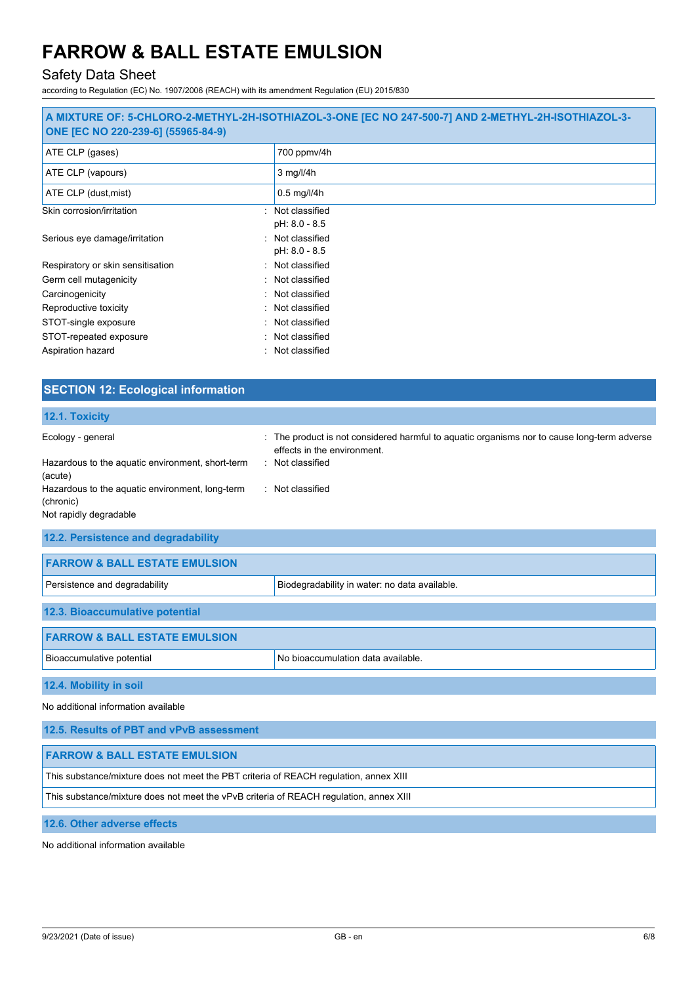# Safety Data Sheet

according to Regulation (EC) No. 1907/2006 (REACH) with its amendment Regulation (EU) 2015/830

| A MIXTURE OF: 5-CHLORO-2-METHYL-2H-ISOTHIAZOL-3-ONE [EC NO 247-500-7] AND 2-METHYL-2H-ISOTHIAZOL-3-<br>ONE [EC NO 220-239-6] (55965-84-9) |                                   |  |  |  |
|-------------------------------------------------------------------------------------------------------------------------------------------|-----------------------------------|--|--|--|
| ATE CLP (gases)                                                                                                                           | 700 ppmv/4h                       |  |  |  |
| ATE CLP (vapours)                                                                                                                         | $3$ mg/l/4h                       |  |  |  |
| ATE CLP (dust, mist)                                                                                                                      | $0.5$ mg/l/4h                     |  |  |  |
| Skin corrosion/irritation                                                                                                                 | : Not classified<br>pH: 8.0 - 8.5 |  |  |  |
| Serious eye damage/irritation                                                                                                             | : Not classified<br>pH: 8.0 - 8.5 |  |  |  |
| Respiratory or skin sensitisation                                                                                                         | : Not classified                  |  |  |  |
| Germ cell mutagenicity                                                                                                                    | : Not classified                  |  |  |  |
| Carcinogenicity                                                                                                                           | : Not classified                  |  |  |  |
| Reproductive toxicity                                                                                                                     | : Not classified                  |  |  |  |
| STOT-single exposure                                                                                                                      | : Not classified                  |  |  |  |
| STOT-repeated exposure                                                                                                                    | : Not classified                  |  |  |  |
| Aspiration hazard                                                                                                                         | : Not classified                  |  |  |  |

| <b>SECTION 12: Ecological information</b>                                                                                                        |                                                                                                                                                                    |  |  |  |
|--------------------------------------------------------------------------------------------------------------------------------------------------|--------------------------------------------------------------------------------------------------------------------------------------------------------------------|--|--|--|
| 12.1. Toxicity                                                                                                                                   |                                                                                                                                                                    |  |  |  |
| Ecology - general<br>Hazardous to the aquatic environment, short-term<br>(acute)<br>Hazardous to the aquatic environment, long-term<br>(chronic) | : The product is not considered harmful to aquatic organisms nor to cause long-term adverse<br>effects in the environment.<br>: Not classified<br>: Not classified |  |  |  |
| Not rapidly degradable                                                                                                                           |                                                                                                                                                                    |  |  |  |
| 12.2. Persistence and degradability                                                                                                              |                                                                                                                                                                    |  |  |  |
| <b>FARROW &amp; BALL ESTATE EMULSION</b>                                                                                                         |                                                                                                                                                                    |  |  |  |
| Persistence and degradability                                                                                                                    | Biodegradability in water: no data available.                                                                                                                      |  |  |  |
| 12.3. Bioaccumulative potential                                                                                                                  |                                                                                                                                                                    |  |  |  |
| <b>FARROW &amp; BALL ESTATE EMULSION</b>                                                                                                         |                                                                                                                                                                    |  |  |  |
| Bioaccumulative potential                                                                                                                        | No bioaccumulation data available.                                                                                                                                 |  |  |  |
| 12.4. Mobility in soil                                                                                                                           |                                                                                                                                                                    |  |  |  |
| No additional information available                                                                                                              |                                                                                                                                                                    |  |  |  |
| 12.5. Results of PBT and vPvB assessment                                                                                                         |                                                                                                                                                                    |  |  |  |
| <b>FARROW &amp; BALL ESTATE EMULSION</b>                                                                                                         |                                                                                                                                                                    |  |  |  |
| This substance/mixture does not meet the PBT criteria of REACH regulation, annex XIII                                                            |                                                                                                                                                                    |  |  |  |

This substance/mixture does not meet the vPvB criteria of REACH regulation, annex XIII

**12.6. Other adverse effects**

No additional information available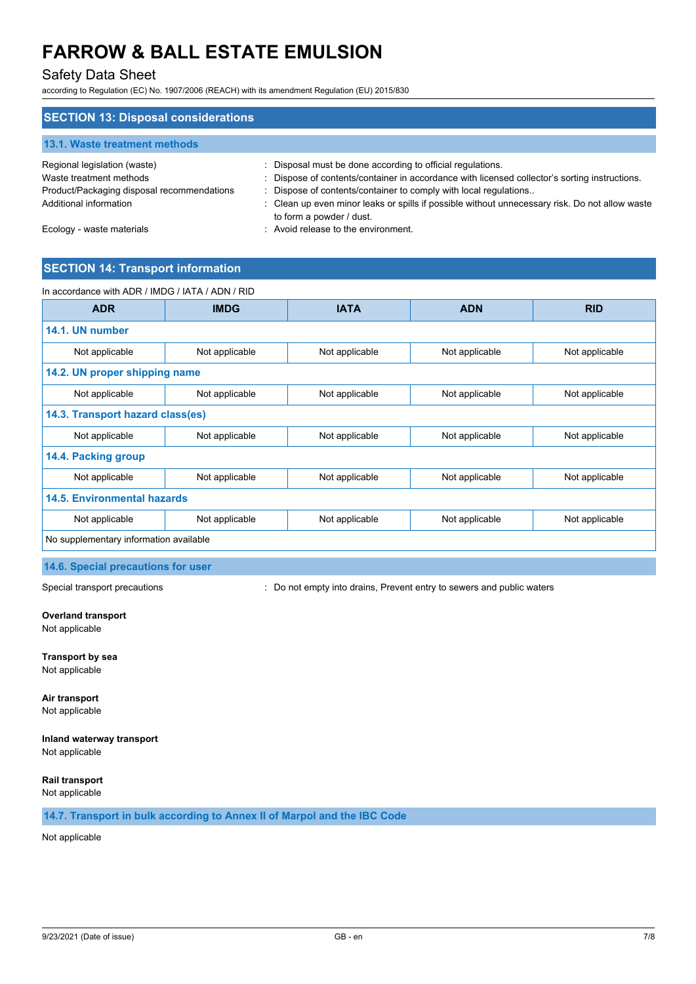# Safety Data Sheet

according to Regulation (EC) No. 1907/2006 (REACH) with its amendment Regulation (EU) 2015/830

| <b>SECTION 13: Disposal considerations</b>              |                                                                                                                                                             |
|---------------------------------------------------------|-------------------------------------------------------------------------------------------------------------------------------------------------------------|
| 13.1. Waste treatment methods                           |                                                                                                                                                             |
| Regional legislation (waste)<br>Waste treatment methods | : Disposal must be done according to official regulations.<br>: Dispose of contents/container in accordance with licensed collector's sorting instructions. |
| Product/Packaging disposal recommendations              | : Dispose of contents/container to comply with local regulations                                                                                            |
| Additional information                                  | : Clean up even minor leaks or spills if possible without unnecessary risk. Do not allow waste<br>to form a powder / dust.                                  |
| Ecology - waste materials                               | : Avoid release to the environment.                                                                                                                         |

# **SECTION 14: Transport information**

| In accordance with ADR / IMDG / IATA / ADN / RID |                |                |                |                |  |
|--------------------------------------------------|----------------|----------------|----------------|----------------|--|
| <b>ADR</b>                                       | <b>IMDG</b>    | <b>IATA</b>    | <b>ADN</b>     | <b>RID</b>     |  |
| 14.1. UN number                                  |                |                |                |                |  |
| Not applicable                                   | Not applicable | Not applicable | Not applicable | Not applicable |  |
| 14.2. UN proper shipping name                    |                |                |                |                |  |
| Not applicable                                   | Not applicable | Not applicable | Not applicable | Not applicable |  |
| 14.3. Transport hazard class(es)                 |                |                |                |                |  |
| Not applicable                                   | Not applicable | Not applicable | Not applicable | Not applicable |  |
| 14.4. Packing group                              |                |                |                |                |  |
| Not applicable                                   | Not applicable | Not applicable | Not applicable | Not applicable |  |
| <b>14.5. Environmental hazards</b>               |                |                |                |                |  |
| Not applicable                                   | Not applicable | Not applicable | Not applicable | Not applicable |  |
| No supplementary information available           |                |                |                |                |  |

#### **14.6. Special precautions for user**

Special transport precautions **interpretatal intervals**  $\cdot$  Do not empty into drains, Prevent entry to sewers and public waters

#### **Overland transport** Not applicable

**Transport by sea** Not applicable

**Air transport** Not applicable

# **Inland waterway transport**

Not applicable

**Rail transport** Not applicable

**14.7. Transport in bulk according to Annex II of Marpol and the IBC Code**

Not applicable